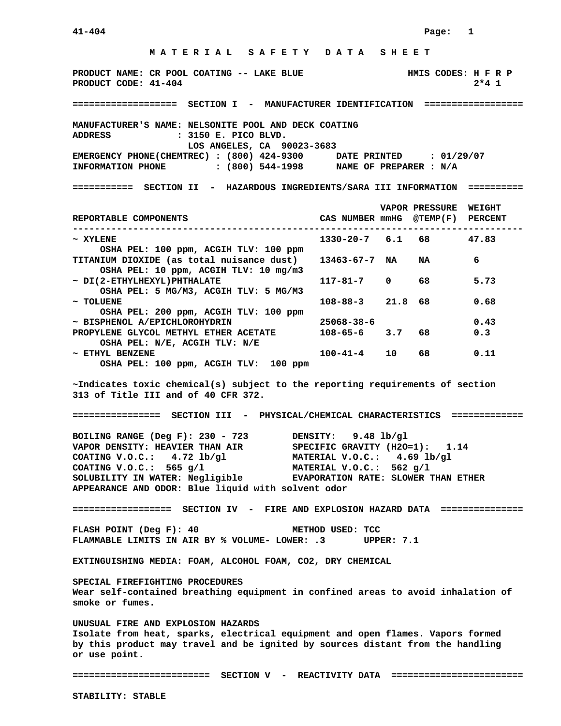## **M A T E R I A L S A F E T Y D A T A S H E E T PRODUCT NAME: CR POOL COATING -- LAKE BLUE FOOL HALLS CODES: H F R P PRODUCT CODE: 41-404 2\*4 1 =================== SECTION I - MANUFACTURER IDENTIFICATION ================== MANUFACTURER'S NAME: NELSONITE POOL AND DECK COATING ADDRESS : 3150 E. PICO BLVD. LOS ANGELES, CA 90023-3683 EMERGENCY PHONE(CHEMTREC) : (800) 424-9300 DATE PRINTED : 01/29/07 INFORMATION PHONE : (800) 544-1998 NAME OF PREPARER : N/A =========== SECTION II - HAZARDOUS INGREDIENTS/SARA III INFORMATION ========== VAPOR PRESSURE WEIGHT REPORTABLE COMPONENTS CAS NUMBER mmHG @TEMP(F) PERCENT ---------------------------------------------------------------------------------- ~ XYLENE 1330-20-7 6.1 68 47.83 OSHA PEL: 100 ppm, ACGIH TLV: 100 ppm TITANIUM DIOXIDE (as total nuisance dust) 13463-67-7 NA NA 6 OSHA PEL: 10 ppm, ACGIH TLV: 10 mg/m3 ~ DI(2-ETHYLHEXYL)PHTHALATE 117-81-7 0 68 5.73 OSHA PEL: 5 MG/M3, ACGIH TLV: 5 MG/M3 ~ TOLUENE 108-88-3 21.8 68 0.68 OSHA PEL: 200 ppm, ACGIH TLV: 100 ppm ~ BISPHENOL A/EPICHLOROHYDRIN 25068-38-6 0.43**  PROPYLENE GLYCOL METHYL ETHER ACETATE  $108-65-6$  3.7 68 0.3  **OSHA PEL: N/E, ACGIH TLV: N/E ~ ETHYL BENZENE 100-41-4 10 68 0.11 OSHA PEL: 100 ppm, ACGIH TLV: 100 ppm ~Indicates toxic chemical(s) subject to the reporting requirements of section 313 of Title III and of 40 CFR 372. ================ SECTION III - PHYSICAL/CHEMICAL CHARACTERISTICS ============= BOILING RANGE (Deg F): 230 - 723 DENSITY: 9.48 lb/gl VAPOR DENSITY: HEAVIER THAN AIR SPECIFIC GRAVITY (H2O=1): 1.14 COATING V.O.C.: 4.72 lb/gl MATERIAL V.O.C.: 4.69 lb/gl COATING V.O.C.: 565 g/l MATERIAL V.O.C.: 562 g/l SOLUBILITY IN WATER: Negligible EVAPORATION RATE: SLOWER THAN ETHER APPEARANCE AND ODOR: Blue liquid with solvent odor ================== SECTION IV - FIRE AND EXPLOSION HAZARD DATA =============== FLASH POINT (Deg F): 40 METHOD USED: TCC FLAMMABLE LIMITS IN AIR BY % VOLUME- LOWER: .3 UPPER: 7.1 EXTINGUISHING MEDIA: FOAM, ALCOHOL FOAM, CO2, DRY CHEMICAL SPECIAL FIREFIGHTING PROCEDURES Wear self-contained breathing equipment in confined areas to avoid inhalation of smoke or fumes. UNUSUAL FIRE AND EXPLOSION HAZARDS**

**Isolate from heat, sparks, electrical equipment and open flames. Vapors formed by this product may travel and be ignited by sources distant from the handling or use point.** 

**========================= SECTION V - REACTIVITY DATA ========================**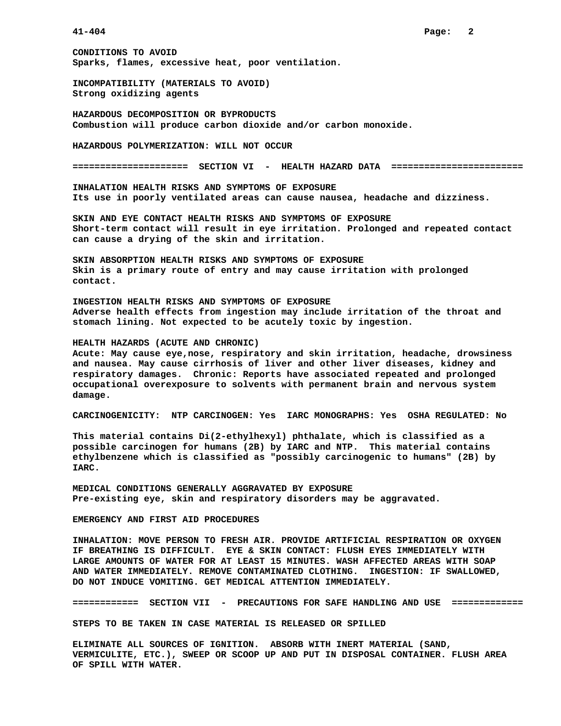**CONDITIONS TO AVOID Sparks, flames, excessive heat, poor ventilation.** 

**INCOMPATIBILITY (MATERIALS TO AVOID) Strong oxidizing agents** 

**HAZARDOUS DECOMPOSITION OR BYPRODUCTS Combustion will produce carbon dioxide and/or carbon monoxide.** 

**HAZARDOUS POLYMERIZATION: WILL NOT OCCUR** 

**===================== SECTION VI - HEALTH HAZARD DATA ========================** 

**INHALATION HEALTH RISKS AND SYMPTOMS OF EXPOSURE Its use in poorly ventilated areas can cause nausea, headache and dizziness.** 

**SKIN AND EYE CONTACT HEALTH RISKS AND SYMPTOMS OF EXPOSURE Short-term contact will result in eye irritation. Prolonged and repeated contact can cause a drying of the skin and irritation.** 

**SKIN ABSORPTION HEALTH RISKS AND SYMPTOMS OF EXPOSURE Skin is a primary route of entry and may cause irritation with prolonged contact.** 

**INGESTION HEALTH RISKS AND SYMPTOMS OF EXPOSURE Adverse health effects from ingestion may include irritation of the throat and stomach lining. Not expected to be acutely toxic by ingestion.** 

## **HEALTH HAZARDS (ACUTE AND CHRONIC)**

**Acute: May cause eye,nose, respiratory and skin irritation, headache, drowsiness and nausea. May cause cirrhosis of liver and other liver diseases, kidney and respiratory damages. Chronic: Reports have associated repeated and prolonged occupational overexposure to solvents with permanent brain and nervous system damage.** 

**CARCINOGENICITY: NTP CARCINOGEN: Yes IARC MONOGRAPHS: Yes OSHA REGULATED: No** 

**This material contains Di(2-ethylhexyl) phthalate, which is classified as a possible carcinogen for humans (2B) by IARC and NTP. This material contains ethylbenzene which is classified as "possibly carcinogenic to humans" (2B) by IARC.** 

**MEDICAL CONDITIONS GENERALLY AGGRAVATED BY EXPOSURE Pre-existing eye, skin and respiratory disorders may be aggravated.** 

**EMERGENCY AND FIRST AID PROCEDURES** 

**INHALATION: MOVE PERSON TO FRESH AIR. PROVIDE ARTIFICIAL RESPIRATION OR OXYGEN IF BREATHING IS DIFFICULT. EYE & SKIN CONTACT: FLUSH EYES IMMEDIATELY WITH LARGE AMOUNTS OF WATER FOR AT LEAST 15 MINUTES. WASH AFFECTED AREAS WITH SOAP AND WATER IMMEDIATELY. REMOVE CONTAMINATED CLOTHING. INGESTION: IF SWALLOWED, DO NOT INDUCE VOMITING. GET MEDICAL ATTENTION IMMEDIATELY.** 

**============ SECTION VII - PRECAUTIONS FOR SAFE HANDLING AND USE =============** 

**STEPS TO BE TAKEN IN CASE MATERIAL IS RELEASED OR SPILLED** 

**ELIMINATE ALL SOURCES OF IGNITION. ABSORB WITH INERT MATERIAL (SAND, VERMICULITE, ETC.), SWEEP OR SCOOP UP AND PUT IN DISPOSAL CONTAINER. FLUSH AREA OF SPILL WITH WATER.**